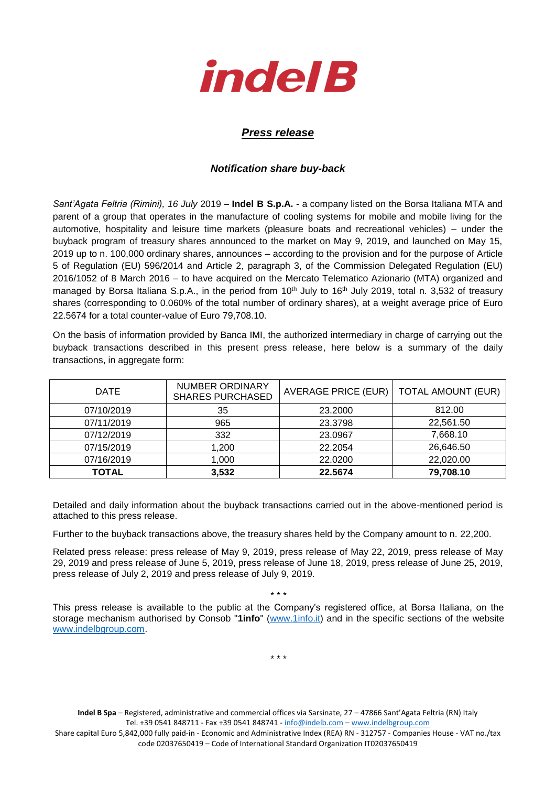

## *Press release*

## *Notification share buy-back*

*Sant'Agata Feltria (Rimini), 16 July* 2019 – **Indel B S.p.A.** - a company listed on the Borsa Italiana MTA and parent of a group that operates in the manufacture of cooling systems for mobile and mobile living for the automotive, hospitality and leisure time markets (pleasure boats and recreational vehicles) – under the buyback program of treasury shares announced to the market on May 9, 2019, and launched on May 15, 2019 up to n. 100,000 ordinary shares, announces – according to the provision and for the purpose of Article 5 of Regulation (EU) 596/2014 and Article 2, paragraph 3, of the Commission Delegated Regulation (EU) 2016/1052 of 8 March 2016 – to have acquired on the Mercato Telematico Azionario (MTA) organized and managed by Borsa Italiana S.p.A., in the period from 10<sup>th</sup> July to 16<sup>th</sup> July 2019, total n. 3,532 of treasury shares (corresponding to 0.060% of the total number of ordinary shares), at a weight average price of Euro 22.5674 for a total counter-value of Euro 79,708.10.

On the basis of information provided by Banca IMI, the authorized intermediary in charge of carrying out the buyback transactions described in this present press release, here below is a summary of the daily transactions, in aggregate form:

| <b>DATE</b>  | <b>NUMBER ORDINARY</b><br><b>SHARES PURCHASED</b> | AVERAGE PRICE (EUR) | <b>TOTAL AMOUNT (EUR)</b> |
|--------------|---------------------------------------------------|---------------------|---------------------------|
| 07/10/2019   | 35                                                | 23.2000             | 812.00                    |
| 07/11/2019   | 965                                               | 23.3798             | 22,561.50                 |
| 07/12/2019   | 332                                               | 23.0967             | 7,668.10                  |
| 07/15/2019   | 1,200                                             | 22.2054             | 26,646.50                 |
| 07/16/2019   | 1,000                                             | 22.0200             | 22,020.00                 |
| <b>TOTAL</b> | 3,532                                             | 22.5674             | 79,708.10                 |

Detailed and daily information about the buyback transactions carried out in the above-mentioned period is attached to this press release.

Further to the buyback transactions above, the treasury shares held by the Company amount to n. 22,200.

Related press release: press release of May 9, 2019, press release of May 22, 2019, press release of May 29, 2019 and press release of June 5, 2019, press release of June 18, 2019, press release of June 25, 2019, press release of July 2, 2019 and press release of July 9, 2019.

\* \* \*

This press release is available to the public at the Company's registered office, at Borsa Italiana, on the storage mechanism authorised by Consob "**1info**" [\(www.1info.it\)](file:///C:/Users/ddelietovollaro/AppData/Local/Microsoft/Windows/INetCache/Content.Outlook/T87B94UR/www.1info.it) and in the specific sections of the website [www.indelbgroup.com.](http://www.indelbgroup.com/)

\* \* \*

**Indel B Spa** – Registered, administrative and commercial offices via Sarsinate, 27 – 47866 Sant'Agata Feltria (RN) Italy Tel. +39 0541 848711 - Fax +39 0541 848741 - [info@indelb.com](mailto:info@indelb.com) – [www.indelbgroup.com](http://www.indelbgroup.com/) Share capital Euro 5,842,000 fully paid-in - Economic and Administrative Index (REA) RN - 312757 - Companies House - VAT no./tax code 02037650419 – Code of International Standard Organization IT02037650419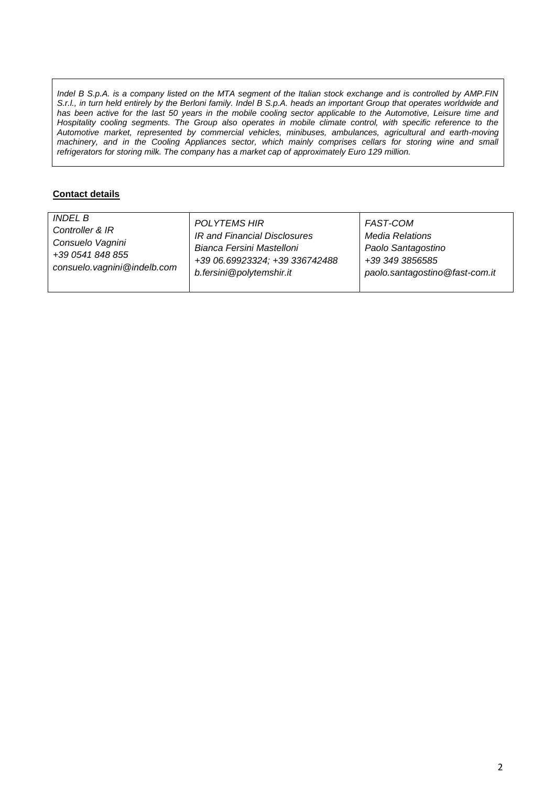*Indel B S.p.A. is a company listed on the MTA segment of the Italian stock exchange and is controlled by AMP.FIN S.r.l., in turn held entirely by the Berloni family. Indel B S.p.A. heads an important Group that operates worldwide and has been active for the last 50 years in the mobile cooling sector applicable to the Automotive, Leisure time and Hospitality cooling segments. The Group also operates in mobile climate control, with specific reference to the Automotive market, represented by commercial vehicles, minibuses, ambulances, agricultural and earth-moving machinery, and in the Cooling Appliances sector, which mainly comprises cellars for storing wine and small refrigerators for storing milk. The company has a market cap of approximately Euro 129 million.*

## **Contact details**

| <b>INDEL B</b>              | POLYTEMS HIR                   | FAST-COM                       |
|-----------------------------|--------------------------------|--------------------------------|
| Controller & IR             | IR and Financial Disclosures   | <b>Media Relations</b>         |
| Consuelo Vagnini            | Bianca Fersini Mastelloni      | Paolo Santagostino             |
| +39 0541 848 855            | +39 06.69923324; +39 336742488 | +39 349 3856585                |
| consuelo.vagnini@indelb.com | b.fersini@polytemshir.it       | paolo.santagostino@fast-com.it |